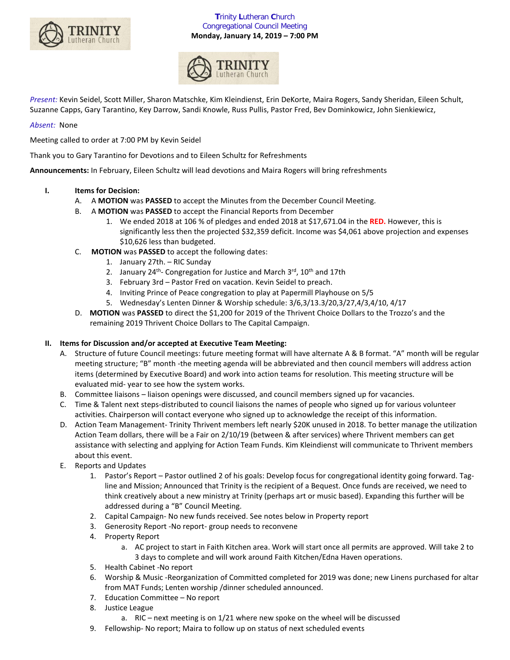

# **T**rinity **L**utheran **C**hurch Congregational Council Meeting **Monday, January 14, 2019 – 7:00 PM**



*Present:* Kevin Seidel, Scott Miller, Sharon Matschke, Kim Kleindienst, Erin DeKorte, Maira Rogers, Sandy Sheridan, Eileen Schult, Suzanne Capps, Gary Tarantino, Key Darrow, Sandi Knowle, Russ Pullis, Pastor Fred, Bev Dominkowicz, John Sienkiewicz,

# *Absent:* None

Meeting called to order at 7:00 PM by Kevin Seidel

Thank you to Gary Tarantino for Devotions and to Eileen Schultz for Refreshments

**Announcements:** In February, Eileen Schultz will lead devotions and Maira Rogers will bring refreshments

## **I. Items for Decision:**

- A. A **MOTION** was **PASSED** to accept the Minutes from the December Council Meeting.
- B. A **MOTION** was **PASSED** to accept the Financial Reports from December
	- 1. We ended 2018 at 106 % of pledges and ended 2018 at \$17,671.04 in the **RED.** However, this is significantly less then the projected \$32,359 deficit. Income was \$4,061 above projection and expenses \$10,626 less than budgeted.
- C. **MOTION** was **PASSED** to accept the following dates:
	- 1. January 27th. RIC Sunday
	- 2. January  $24^{th}$  Congregation for Justice and March  $3^{rd}$ ,  $10^{th}$  and  $17th$
	- 3. February 3rd Pastor Fred on vacation. Kevin Seidel to preach.
	- 4. Inviting Prince of Peace congregation to play at Papermill Playhouse on 5/5
	- 5. Wednesday's Lenten Dinner & Worship schedule: 3/6,3/13.3/20,3/27,4/3,4/10, 4/17
- D. **MOTION** was **PASSED** to direct the \$1,200 for 2019 of the Thrivent Choice Dollars to the Trozzo's and the remaining 2019 Thrivent Choice Dollars to The Capital Campaign.

# **II. Items for Discussion and/or accepted at Executive Team Meeting:**

- A. Structure of future Council meetings: future meeting format will have alternate A & B format. "A" month will be regular meeting structure; "B" month -the meeting agenda will be abbreviated and then council members will address action items (determined by Executive Board) and work into action teams for resolution. This meeting structure will be evaluated mid- year to see how the system works.
- B. Committee liaisons liaison openings were discussed, and council members signed up for vacancies.
- C. Time & Talent next steps-distributed to council liaisons the names of people who signed up for various volunteer activities. Chairperson will contact everyone who signed up to acknowledge the receipt of this information.
- D. Action Team Management- Trinity Thrivent members left nearly \$20K unused in 2018. To better manage the utilization Action Team dollars, there will be a Fair on 2/10/19 (between & after services) where Thrivent members can get assistance with selecting and applying for Action Team Funds. Kim Kleindienst will communicate to Thrivent members about this event.
- E. Reports and Updates
	- 1. Pastor's Report Pastor outlined 2 of his goals: Develop focus for congregational identity going forward. Tagline and Mission; Announced that Trinity is the recipient of a Bequest. Once funds are received, we need to think creatively about a new ministry at Trinity (perhaps art or music based). Expanding this further will be addressed during a "B" Council Meeting.
	- 2. Capital Campaign- No new funds received. See notes below in Property report
	- 3. Generosity Report -No report- group needs to reconvene
	- 4. Property Report
		- a. AC project to start in Faith Kitchen area. Work will start once all permits are approved. Will take 2 to 3 days to complete and will work around Faith Kitchen/Edna Haven operations.
	- 5. Health Cabinet -No report
	- 6. Worship & Music -Reorganization of Committed completed for 2019 was done; new Linens purchased for altar from MAT Funds; Lenten worship /dinner scheduled announced.
	- 7. Education Committee No report
	- 8. Justice League
		- a. RIC next meeting is on 1/21 where new spoke on the wheel will be discussed
	- 9. Fellowship- No report; Maira to follow up on status of next scheduled events